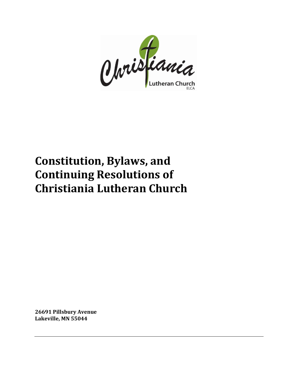

# **Constitution, Bylaws, and Continuing Resolutions of Christiania Lutheran Church**

**26691 Pillsbury Avenue Lakeville, MN 55044**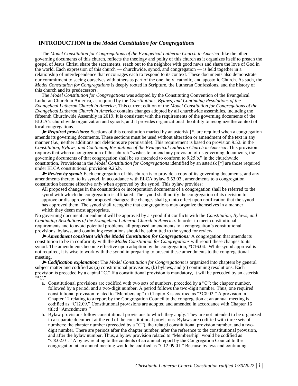# **INTRODUCTION to the** *Model Constitution for Congregations*

The *Model Constitution for Congregations of the Evangelical Lutheran Church in America*, like the other governing documents of this church, reflects the theology and polity of this church as it organizes itself to preach the gospel of Jesus Christ, share the sacraments, reach out to the neighbor with good news and share the love of God in the world. Each expression of this church — churchwide, synod, and congregation — is held together in a relationship of interdependence that encourages each to respond to its context. These documents also demonstrate our commitment to seeing ourselves with others as part of the one, holy, catholic, and apostolic Church. As such, the *Model Constitution for Congregations* is deeply rooted in Scripture, the Lutheran Confessions, and the history of this church and its predecessors.

The *Model Constitution for Congregations* was adopted by the Constituting Convention of the Evangelical Lutheran Church in America, as required by the *Constitutions, Bylaws, and Continuing Resolutions of the Evangelical Lutheran Church in America*. This current edition of the *Model Constitution for Congregations of the Evangelical Lutheran Church in America* contains changes adopted by all churchwide assemblies, including the fifteenth Churchwide Assembly in 2019. It is consistent with the requirements of the governing documents of the ELCA's churchwide organization and synods, and it provides organizational flexibility to recognize the context of local congregations.

➤ *Required provisions:* Sections of this constitution marked by an asterisk [\*] are required when a congregation amends its governing documents. These sections must be used without alteration or amendment of the text in any manner (*i.e.*, neither additions nor deletions are permissible). This requirement is based on provision 9.52. in the *Constitution, Bylaws, and Continuing Resolutions of the Evangelical Lutheran Church in America*. This provision requires that when a congregation of this church "wishes to amend any provision of its governing documents, the governing documents of that congregation shall be so amended to conform to 9.25.b." in the churchwide constitution. Provisions in the *Model Constitution for Congregations* identified by an asterisk [\*] are those required under ELCA constitutional provision 9.25.b.

► *Review by synod:* Each congregation of this church is to provide a copy of its governing documents, and any amendments thereto, to its synod. In accordance with ELCA bylaw 9.53.03., amendments to a congregation constitution become effective *only* when approved by the synod. This bylaw provides:

All proposed changes in the constitution or incorporation documents of a congregation shall be referred to the synod with which the congregation is affiliated. The synod shall notify the congregation of its decision to approve or disapprove the proposed changes; the changes shall go into effect upon notification that the synod has approved them. The synod shall recognize that congregations may organize themselves in a manner which they deem most appropriate.

No governing document amendment will be approved by a synod if it conflicts with the *Constitution, Bylaws, and Continuing Resolutions of the Evangelical Lutheran Church in America*. In order to meet constitutional requirements and to avoid potential problems, all proposed amendments to a congregation's constitutional provisions, bylaws, and continuing resolutions should be submitted to the synod for review.

➤ *Amendment consistent with the Model Constitution for Congregations:* A congregation that amends its constitution to be in conformity with the *Model Constitution for Congregations* will report these changes to its synod. The amendments become effective upon adoption by the congregation, \*C16.04. While synod approval is not required, it is wise to work with the synod in preparing to present these amendments to the congregational meeting.

➤ *Codification explanation:* The *Model Constitution for Congregations* is organized into chapters by general subject matter and codified as (a) constitutional provisions, (b) bylaws, and (c) continuing resolutions. Each provision is preceded by a capital "C." If a constitutional provision is mandatory, it will be preceded by an asterisk,  $\left\langle \cdot \right\rangle ^{*}$ C."

- a. Constitutional provisions are codified with two sets of numbers, preceded by a "C": the chapter number, followed by a period, and a two-digit number. A period follows the two-digit number. Thus, one required constitutional provision related to "Membership" in Chapter 8 is codified as "\*C8.02." A provision in Chapter 12 relating to a report by the Congregation Council to the congregation at an annual meeting is codified as "C12.09." Constitutional provisions are adopted and amended in accordance with Chapter 16 titled "Amendments."
- b. Bylaw provisions follow constitutional provisions to which they apply. They are not intended to be organized in a separate document at the end of the constitutional provisions. Bylaws are codified with three sets of numbers: the chapter number (preceded by a "C"), the related constitutional provision number, and a twodigit number. There are periods after the chapter number, after the reference to the constitutional provision, and after the bylaw number. Thus, a bylaw provision related to "Membership" would be codified as "C8.02.01." A bylaw relating to the contents of an annual report by the Congregation Council to the congregation at an annual meeting would be codified as "C12.09.01." Because bylaws and continuing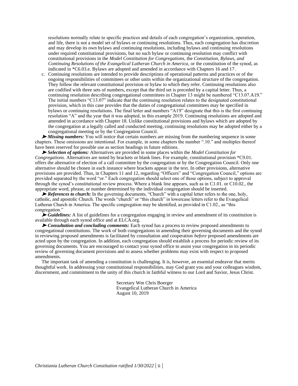resolutions normally relate to specific practices and details of each congregation's organization, operation, and life, there is not a model set of bylaws or continuing resolutions. Thus, each congregation has discretion and may develop its own bylaws and continuing resolutions, including bylaws and continuing resolutions under required constitutional provisions, but no such bylaw or continuing resolution may conflict with constitutional provisions in the *Model Constitution for Congregations*, the *Constitution, Bylaws, and Continuing Resolutions of the Evangelical Lutheran Church in America*, or the constitution of the synod, as indicated in \*C6.03.e. Bylaws are adopted and amended in accordance with Chapters 16 and 17.

c. Continuing resolutions are intended to provide descriptions of operational patterns and practices or of the ongoing responsibilities of committees or other units within the organizational structure of the congregation. They follow the relevant constitutional provision or bylaw to which they refer. Continuing resolutions also are codified with three sets of numbers, except that the third set is preceded by a capital letter. Thus, a continuing resolution describing congregational committees in Chapter 13 might be numbered "C13.07.A19." The initial numbers "C13.07" indicate that the continuing resolution relates to the designated constitutional provision, which in this case provides that the duties of congregational committees may be specified in bylaws or continuing resolutions. The final letter and numbers "A19" designate that this is the first continuing resolution "A" and the year that it was adopted, in this example 2019. Continuing resolutions are adopted and amended in accordance with Chapter 18. Unlike constitutional provisions and bylaws which are adopted by the congregation at a legally called and conducted meeting, continuing resolutions may be adopted either by a congregational meeting or by the Congregation Council.

➤ *Missing numbers:* You will notice that certain numbers are missing from the numbering sequence in some chapters. These omissions are intentional. For example, in some chapters the number ".10." and multiples thereof have been reserved for possible use as section headings in future editions.

➤ *Selection of options:* Alternatives are provided in some places within the *Model Constitution for Congregations*. Alternatives are noted by brackets or blank lines. For example, constitutional provision \*C9.01. offers the alternative of election of a call committee by the congregation or by the Congregation Council. Only one alternative should be chosen in each instance where brackets appear in the text. In other provisions, alternative provisions are provided. Thus, in Chapters 11 and 12, regarding "Officers" and "Congregation Council," options are provided separated by the word "or." Each congregation should select one of those options, subject to approval through the synod's constitutional review process. Where a blank line appears, such as in C1.01. or C10.02., the appropriate word, phrase, or number determined by the individual congregation should be inserted.

► *References to church:* In the governing documents, "Church" with a capital letter refers to the one, holy, catholic, and apostolic Church. The words "church" or "this church" in lowercase letters refer to the Evangelical Lutheran Church in America. The specific congregation may be identified, as provided in C1.02., as "this congregation."

► *Guidelines:* A list of guidelines for a congregation engaging in review and amendment of its constitution is available through each synod office and at ELCA.org.

➤ *Consultation and concluding comments:* Each synod has a process to review proposed amendments to congregational constitutions. The work of both congregations in amending their governing documents and the synod in reviewing proposed amendments is facilitated by consultation and cooperation *before* proposed amendments are acted upon by the congregation. In addition, each congregation should establish a process for periodic review of its governing documents. You are encouraged to contact your synod office to assist your congregation in its periodic review of governing document provisions and to assess whether problems may exist with respect to proposed amendments.

The important task of amending a constitution is challenging. It is, however, an essential endeavor that merits thoughtful work. In addressing your constitutional responsibilities, may God grant you and your colleagues wisdom, discernment, and commitment to the unity of this church in faithful witness to our Lord and Savior, Jesus Christ.

> Secretary Wm Chris Boerger Evangelical Lutheran Church in America August 10, 2019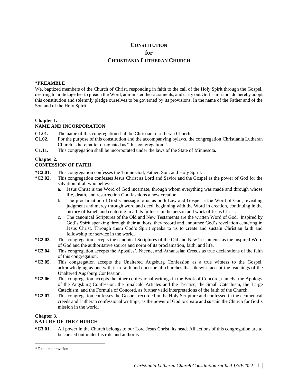#### **CONSTITUTION**

**for**

# **CHRISTIANIA LUTHERAN CHURCH**

#### **\*PREAMBLE**\*

We, baptized members of the Church of Christ, responding in faith to the call of the Holy Spirit through the Gospel, desiring to unite together to preach the Word, administer the sacraments, and carry out God's mission, do hereby adopt this constitution and solemnly pledge ourselves to be governed by its provisions. In the name of the Father and of the Son and of the Holy Spirit.

# **Chapter 1.**

# **NAME AND INCORPORATION**

- **C1.01.** The name of this congregation shall be Christiania Lutheran Church.
- **C1.02.** For the purpose of this constitution and the accompanying bylaws, the congregation Christiania Lutheran Church is hereinafter designated as "this congregation."
- **C1.11.** This congregation shall be incorporated under the laws of the State of Minnesota**.**

#### **Chapter 2.**

#### **CONFESSION OF FAITH**

- **\*C2.01.** This congregation confesses the Triune God, Father, Son, and Holy Spirit.
- **\*C2.02.** This congregation confesses Jesus Christ as Lord and Savior and the Gospel as the power of God for the salvation of all who believe.
	- a. Jesus Christ is the Word of God incarnate, through whom everything was made and through whose life, death, and resurrection God fashions a new creation.
	- b. The proclamation of God's message to us as both Law and Gospel is the Word of God, revealing judgment and mercy through word and deed, beginning with the Word in creation, continuing in the history of Israel, and centering in all its fullness in the person and work of Jesus Christ.
	- c. The canonical Scriptures of the Old and New Testaments are the written Word of God. Inspired by God's Spirit speaking through their authors, they record and announce God's revelation centering in Jesus Christ. Through them God's Spirit speaks to us to create and sustain Christian faith and fellowship for service in the world.
- **\*C2.03.** This congregation accepts the canonical Scriptures of the Old and New Testaments as the inspired Word of God and the authoritative source and norm of its proclamation, faith, and life.
- **\*C2.04.** This congregation accepts the Apostles', Nicene, and Athanasian Creeds as true declarations of the faith of this congregation.
- **\*C2.05.** This congregation accepts the Unaltered Augsburg Confession as a true witness to the Gospel, acknowledging as one with it in faith and doctrine all churches that likewise accept the teachings of the Unaltered Augsburg Confession.
- **\*C2.06.** This congregation accepts the other confessional writings in the Book of Concord, namely, the Apology of the Augsburg Confession, the Smalcald Articles and the Treatise, the Small Catechism, the Large Catechism, and the Formula of Concord, as further valid interpretations of the faith of the Church.
- **\*C2.07.** This congregation confesses the Gospel, recorded in the Holy Scripture and confessed in the ecumenical creeds and Lutheran confessional writings, as the power of God to create and sustain the Church for God's mission in the world.

#### **Chapter 3.**

# **NATURE OF THE CHURCH**

**\*C3.01.** All power in the Church belongs to our Lord Jesus Christ, its head. All actions of this congregation are to be carried out under his rule and authority.

<sup>\*</sup> Required provision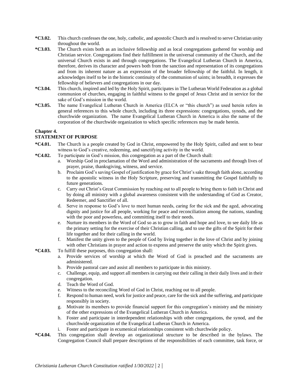- **\*C3.02.** This church confesses the one, holy, catholic, and apostolic Church and is resolved to serve Christian unity throughout the world.
- **\*C3.03.** The Church exists both as an inclusive fellowship and as local congregations gathered for worship and Christian service. Congregations find their fulfillment in the universal community of the Church, and the universal Church exists in and through congregations. The Evangelical Lutheran Church in America, therefore, derives its character and powers both from the sanction and representation of its congregations and from its inherent nature as an expression of the broader fellowship of the faithful. In length, it acknowledges itself to be in the historic continuity of the communion of saints; in breadth, it expresses the fellowship of believers and congregations in our day.
- **\*C3.04.** This church, inspired and led by the Holy Spirit, participates in The Lutheran World Federation as a global communion of churches, engaging in faithful witness to the gospel of Jesus Christ and in service for the sake of God's mission in the world.
- **\*C3.05.** The name Evangelical Lutheran Church in America (ELCA or "this church") as used herein refers in general references to this whole church, including its three expressions: congregations, synods, and the churchwide organization. The name Evangelical Lutheran Church in America is also the name of the corporation of the churchwide organization to which specific references may be made herein.

# **Chapter 4.**

# **STATEMENT OF PURPOSE**

- **\*C4.01.** The Church is a people created by God in Christ, empowered by the Holy Spirit, called and sent to bear witness to God's creative, redeeming, and sanctifying activity in the world.
- **\*C4.02.** To participate in God's mission, this congregation as a part of the Church shall:
	- a. Worship God in proclamation of the Word and administration of the sacraments and through lives of prayer, praise, thanksgiving, witness, and service.
	- b. Proclaim God's saving Gospel of justification by grace for Christ's sake through faith alone, according to the apostolic witness in the Holy Scripture, preserving and transmitting the Gospel faithfully to future generations.
	- c. Carry out Christ's Great Commission by reaching out to all people to bring them to faith in Christ and by doing all ministry with a global awareness consistent with the understanding of God as Creator, Redeemer, and Sanctifier of all.
	- d. Serve in response to God's love to meet human needs, caring for the sick and the aged, advocating dignity and justice for all people, working for peace and reconciliation among the nations, standing with the poor and powerless, and committing itself to their needs.
	- e. Nurture its members in the Word of God so as to grow in faith and hope and love, to see daily life as the primary setting for the exercise of their Christian calling, and to use the gifts of the Spirit for their life together and for their calling in the world.
	- f. Manifest the unity given to the people of God by living together in the love of Christ and by joining with other Christians in prayer and action to express and preserve the unity which the Spirit gives.
- **\*C4.03.** To fulfill these purposes, this congregation shall:
	- a. Provide services of worship at which the Word of God is preached and the sacraments are administered.
	- b. Provide pastoral care and assist all members to participate in this ministry.
	- c. Challenge, equip, and support all members in carrying out their calling in their daily lives and in their congregation.
	- d. Teach the Word of God.
	- e. Witness to the reconciling Word of God in Christ, reaching out to all people.
	- f. Respond to human need, work for justice and peace, care for the sick and the suffering, and participate responsibly in society.
	- g. Motivate its members to provide financial support for this congregation's ministry and the ministry of the other expressions of the Evangelical Lutheran Church in America.
	- h. Foster and participate in interdependent relationships with other congregations, the synod, and the churchwide organization of the Evangelical Lutheran Church in America.
	- i. Foster and participate in ecumenical relationships consistent with churchwide policy.
- **\*C4.04.** This congregation shall develop an organizational structure to be described in the bylaws. The Congregation Council shall prepare descriptions of the responsibilities of each committee, task force, or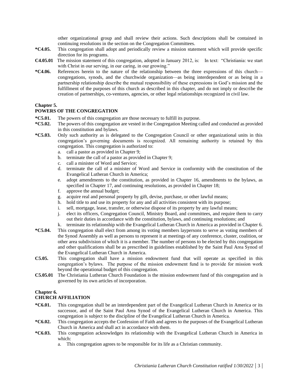other organizational group and shall review their actions. Such descriptions shall be contained in continuing resolutions in the section on the Congregation Committees.

- **\*C4.05.** This congregation shall adopt and periodically review a mission statement which will provide specific direction for its programs.
- **C4.05.01** The mission statement of this congregation, adopted in January 2012, is: In text: "Christiania: we start with Christ in our serving, in our caring, in our growing."
- **\*C4.06.** References herein to the nature of the relationship between the three expressions of this church congregations, synods, and the churchwide organization—as being interdependent or as being in a partnership relationship describe the mutual responsibility of these expressions in God's mission and the fulfillment of the purposes of this church as described in this chapter, and do not imply or describe the creation of partnerships, co-ventures, agencies, or other legal relationships recognized in civil law.

#### **Chapter 5.**

#### **POWERS OF THE CONGREGATION**

- **\*C5.01.** The powers of this congregation are those necessary to fulfill its purpose.
- **\*C5.02.** The powers of this congregation are vested in the Congregation Meeting called and conducted as provided in this constitution and bylaws.
- **\*C5.03.** Only such authority as is delegated to the Congregation Council or other organizational units in this congregation's governing documents is recognized. All remaining authority is retained by this congregation. This congregation is authorized to:
	- a. call a pastor as provided in Chapter 9;
	- b. terminate the call of a pastor as provided in Chapter 9;
	- c. call a minister of Word and Service;
	- d. terminate the call of a minister of Word and Service in conformity with the constitution of the Evangelical Lutheran Church in America;
	- e. adopt amendments to the constitution, as provided in Chapter 16, amendments to the bylaws, as specified in Chapter 17, and continuing resolutions, as provided in Chapter 18;
	- f. approve the annual budget;
	- g. acquire real and personal property by gift, devise, purchase, or other lawful means;
	- h. hold title to and use its property for any and all activities consistent with its purpose;
	- i. sell, mortgage, lease, transfer, or otherwise dispose of its property by any lawful means;
	- j. elect its officers, Congregation Council, Ministry Board, and committees, and require them to carry out their duties in accordance with the constitution, bylaws, and continuing resolutions; and
	- k. terminate its relationship with the Evangelical Lutheran Church in America as provided in Chapter 6.
- **\*C5.04.** This congregation shall elect from among its voting members laypersons to serve as voting members of the Synod Assembly as well as persons to represent it at meetings of any conference, cluster, coalition, or other area subdivision of which it is a member. The number of persons to be elected by this congregation and other qualifications shall be as prescribed in guidelines established by the Saint Paul Area Synod of the Evangelical Lutheran Church in America.
- **C5.05.** This congregation shall have a mission endowment fund that will operate as specified in this congregation's bylaws. The purpose of the mission endowment fund is to provide for mission work beyond the operational budget of this congregation.
- **C5.05.01** The Christiania Lutheran Church Foundation is the mission endowment fund of this congregation and is governed by its own articles of incorporation.

#### **Chapter 6.**

#### **CHURCH AFFILIATION**

- **\*C6.01.** This congregation shall be an interdependent part of the Evangelical Lutheran Church in America or its successor, and of the Saint Paul Area Synod of the Evangelical Lutheran Church in America. This congregation is subject to the discipline of the Evangelical Lutheran Church in America.
- **\*C6.02.** This congregation accepts the Confession of Faith and agrees to the purposes of the Evangelical Lutheran Church in America and shall act in accordance with them.
- **\*C6.03.** This congregation acknowledges its relationship with the Evangelical Lutheran Church in America in which:
	- a. This congregation agrees to be responsible for its life as a Christian community.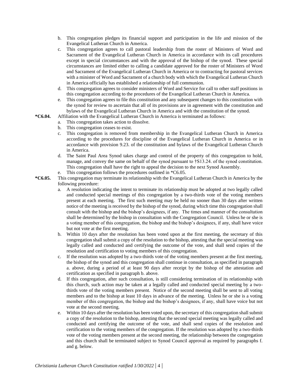- b. This congregation pledges its financial support and participation in the life and mission of the Evangelical Lutheran Church in America.
- c. This congregation agrees to call pastoral leadership from the roster of Ministers of Word and Sacrament of the Evangelical Lutheran Church in America in accordance with its call procedures except in special circumstances and with the approval of the bishop of the synod. These special circumstances are limited either to calling a candidate approved for the roster of Ministers of Word and Sacrament of the Evangelical Lutheran Church in America or to contracting for pastoral services with a minister of Word and Sacrament of a church body with which the Evangelical Lutheran Church in America officially has established a relationship of full communion.
- d. This congregation agrees to consider ministers of Word and Service for call to other staff positions in this congregation according to the procedures of the Evangelical Lutheran Church in America.
- e. This congregation agrees to file this constitution and any subsequent changes to this constitution with the synod for review to ascertain that all of its provisions are in agreement with the constitution and bylaws of the Evangelical Lutheran Church in America and with the constitution of the synod.
- **\*C6.04.** Affiliation with the Evangelical Lutheran Church in America is terminated as follows:
	- a. This congregation takes action to dissolve.
	- b. This congregation ceases to exist.
	- c. This congregation is removed from membership in the Evangelical Lutheran Church in America according to the procedures for discipline of the Evangelical Lutheran Church in America or in accordance with provision 9.23. of the constitution and bylaws of the Evangelical Lutheran Church in America.
	- d. The Saint Paul Area Synod takes charge and control of the property of this congregation to hold, manage, and convey the same on behalf of the synod pursuant to †S13.24. of the synod constitution. This congregation shall have the right to appeal the decision to the next Synod Assembly.
	- e. This congregation follows the procedures outlined in \*C6.05.
- **\*C6.05.** This congregation may terminate its relationship with the Evangelical Lutheran Church in America by the following procedure:
	- a. A resolution indicating the intent to terminate its relationship must be adopted at two legally called and conducted special meetings of this congregation by a two-thirds vote of the voting members present at each meeting. The first such meeting may be held no sooner than 30 days after written notice of the meeting is received by the bishop of the synod, during which time this congregation shall consult with the bishop and the bishop's designees, if any. The times and manner of the consultation shall be determined by the bishop in consultation with the Congregation Council. Unless he or she is a voting member of this congregation, the bishop and the bishop's designees, if any, shall have voice but not vote at the first meeting.
	- b. Within 10 days after the resolution has been voted upon at the first meeting, the secretary of this congregation shall submit a copy of the resolution to the bishop, attesting that the special meeting was legally called and conducted and certifying the outcome of the vote, and shall send copies of the resolution and certification to voting members of this congregation.
	- c. If the resolution was adopted by a two-thirds vote of the voting members present at the first meeting, the bishop of the synod and this congregation shall continue in consultation, as specified in paragraph a. above, during a period of at least 90 days after receipt by the bishop of the attestation and certification as specified in paragraph b. above.
	- d. If this congregation, after such consultation, is still considering termination of its relationship with this church, such action may be taken at a legally called and conducted special meeting by a twothirds vote of the voting members present. Notice of the second meeting shall be sent to all voting members and to the bishop at least 10 days in advance of the meeting. Unless he or she is a voting member of this congregation, the bishop and the bishop's designees, if any, shall have voice but not vote at the second meeting.
	- e. Within 10 days after the resolution has been voted upon, the secretary of this congregation shall submit a copy of the resolution to the bishop, attesting that the second special meeting was legally called and conducted and certifying the outcome of the vote, and shall send copies of the resolution and certification to the voting members of the congregation. If the resolution was adopted by a two-thirds vote of the voting members present at the second meeting, the relationship between the congregation and this church shall be terminated subject to Synod Council approval as required by paragraphs f. and g. below.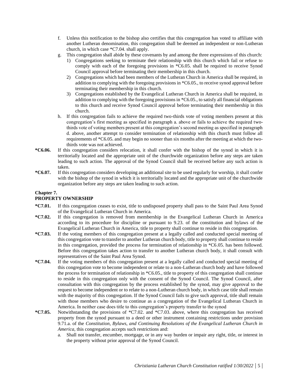- f. Unless this notification to the bishop also certifies that this congregation has voted to affiliate with another Lutheran denomination, this congregation shall be deemed an independent or non-Lutheran church, in which case \*C7.04. shall apply.
- g. This congregation shall abide by these covenants by and among the three expressions of this church:
	- 1) Congregations seeking to terminate their relationship with this church which fail or refuse to comply with each of the foregoing provisions in \*C6.05. shall be required to receive Synod Council approval before terminating their membership in this church.
	- 2) Congregations which had been members of the Lutheran Church in America shall be required, in addition to complying with the foregoing provisions in \*C6.05., to receive synod approval before terminating their membership in this church.
	- 3) Congregations established by the Evangelical Lutheran Church in America shall be required, in addition to complying with the foregoing provisions in \*C6.05., to satisfy all financial obligations to this church and receive Synod Council approval before terminating their membership in this church.
- h. If this congregation fails to achieve the required two-thirds vote of voting members present at this congregation's first meeting as specified in paragraph a. above or fails to achieve the required twothirds vote of voting members present at this congregation's second meeting as specified in paragraph d. above, another attempt to consider termination of relationship with this church must follow all requirements of \*C6.05. and may begin no sooner than six months after the meeting at which the twothirds vote was not achieved.
- **\*C6.06.** If this congregation considers relocation, it shall confer with the bishop of the synod in which it is territorially located and the appropriate unit of the churchwide organization before any steps are taken leading to such action. The approval of the Synod Council shall be received before any such action is taken.
- **\*C6.07.** If this congregation considers developing an additional site to be used regularly for worship, it shall confer with the bishop of the synod in which it is territorially located and the appropriate unit of the churchwide organization before any steps are taken leading to such action.

# **Chapter 7.**

# **PROPERTY OWNERSHIP**

- **\*C7.01.** If this congregation ceases to exist, title to undisposed property shall pass to the Saint Paul Area Synod of the Evangelical Lutheran Church in America.
- **\*C7.02.** If this congregation is removed from membership in the Evangelical Lutheran Church in America according to its procedure for discipline or pursuant to 9.23. of the constitution and bylaws of the Evangelical Lutheran Church in America, title to property shall continue to reside in this congregation.
- **\*C7.03.** If the voting members of this congregation present at a legally called and conducted special meeting of this congregation vote to transfer to another Lutheran church body, title to property shall continue to reside in this congregation, provided the process for termination of relationship in \*C6.05. has been followed. Before this congregation takes action to transfer to another Lutheran church body, it shall consult with representatives of the Saint Paul Area Synod.
- **\*C7.04.** If the voting members of this congregation present at a legally called and conducted special meeting of this congregation vote to become independent or relate to a non-Lutheran church body and have followed the process for termination of relationship in \*C6.05., title to property of this congregation shall continue to reside in this congregation only with the consent of the Synod Council. The Synod Council, after consultation with this congregation by the process established by the synod, may give approval to the request to become independent or to relate to a non-Lutheran church body, in which case title shall remain with the majority of this congregation. If the Synod Council fails to give such approval, title shall remain with those members who desire to continue as a congregation of the Evangelical Lutheran Church in America. In neither case does title to this congregation's property transfer to the synod
- **\*C7.05.** Notwithstanding the provisions of \*C7.02. and \*C7.03. above, where this congregation has received property from the synod pursuant to a deed or other instrument containing restrictions under provision 9.71.a. of the *Constitution, Bylaws, and Continuing Resolutions of the Evangelical Lutheran Church in America*, this congregation accepts such restrictions and:
	- a. Shall not transfer, encumber, mortgage, or in any way burden or impair any right, title, or interest in the property without prior approval of the Synod Council.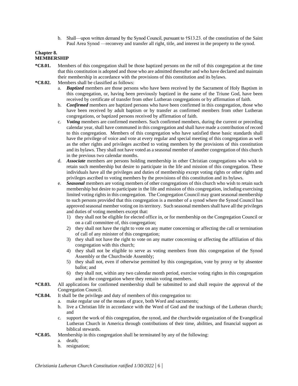b. Shall—upon written demand by the Synod Council, pursuant to †S13.23. of the constitution of the Saint Paul Area Synod —reconvey and transfer all right, title, and interest in the property to the synod.

#### **Chapter 8. MEMBERSHIP**

- **\*C8.01.** Members of this congregation shall be those baptized persons on the roll of this congregation at the time that this constitution is adopted and those who are admitted thereafter and who have declared and maintain their membership in accordance with the provisions of this constitution and its bylaws.
- **\*C8.02.** Members shall be classified as follows:
	- a. *Baptized* members are those persons who have been received by the Sacrament of Holy Baptism in this congregation, or, having been previously baptized in the name of the Triune God, have been received by certificate of transfer from other Lutheran congregations or by affirmation of faith.
	- b. *Confirmed* members are baptized persons who have been confirmed in this congregation, those who have been received by adult baptism or by transfer as confirmed members from other Lutheran congregations, or baptized persons received by affirmation of faith.
	- c. *Voting* members are confirmed members. Such confirmed members, during the current or preceding calendar year, shall have communed in this congregation and shall have made a contribution of record to this congregation. Members of this congregation who have satisfied these basic standards shall have the privilege of voice and vote at every regular and special meeting of this congregation as well as the other rights and privileges ascribed to voting members by the provisions of this constitution and its bylaws. They shall not have voted as a seasonal member of another congregation of this church in the previous two calendar months.
	- d. *Associate* members are persons holding membership in other Christian congregations who wish to retain such membership but desire to participate in the life and mission of this congregation. These individuals have all the privileges and duties of membership except voting rights or other rights and privileges ascribed to voting members by the provisions of this constitution and its bylaws.
	- e. *Seasonal* members are voting members of other congregations of this church who wish to retain such membership but desire to participate in the life and mission of this congregation, including exercising limited voting rights in this congregation. The Congregation Council may grant seasonal membership to such persons provided that this congregation is a member of a synod where the Synod Council has approved seasonal member voting on its territory. Such seasonal members shall have all the privileges and duties of voting members except that:
		- 1) they shall not be eligible for elected office in, or for membership on the Congregation Council or on a call committee of, this congregation;
		- 2) they shall not have the right to vote on any matter concerning or affecting the call or termination of call of any minister of this congregation;
		- 3) they shall not have the right to vote on any matter concerning or affecting the affiliation of this congregation with this church;
		- 4) they shall not be eligible to serve as voting members from this congregation of the Synod Assembly or the Churchwide Assembly;
		- 5) they shall not, even if otherwise permitted by this congregation, vote by proxy or by absentee ballot; and
		- 6) they shall not, within any two calendar month period, exercise voting rights in this congregation and in the congregation where they remain voting members.
- **\*C8.03.** All applications for confirmed membership shall be submitted to and shall require the approval of the Congregation Council.
- **\*C8.04.** It shall be the privilege and duty of members of this congregation to:
	- a. make regular use of the means of grace, both Word and sacraments;
		- b. live a Christian life in accordance with the Word of God and the teachings of the Lutheran church; and
	- c. support the work of this congregation, the synod, and the churchwide organization of the Evangelical Lutheran Church in America through contributions of their time, abilities, and financial support as biblical stewards.
- **\*C8.05.** Membership in this congregation shall be terminated by any of the following:
	- a. death;
	- b. resignation;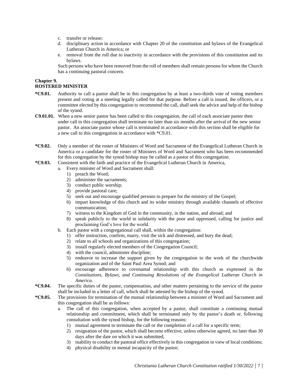- c. transfer or release;
- d. disciplinary action in accordance with Chapter 20 of the constitution and bylaws of the Evangelical Lutheran Church in America; or
- e. removal from the roll due to inactivity in accordance with the provisions of this constitution and its bylaws.

Such persons who have been removed from the roll of members shall remain persons for whom the Church has a continuing pastoral concern.

# **Chapter 9.**

# **ROSTERED MINISTER**

- **\*C9.01.** Authority to call a pastor shall be in this congregation by at least a two-thirds vote of voting members present and voting at a meeting legally called for that purpose. Before a call is issued, the officers, or a committee elected by this congregation to recommend the call, shall seek the advice and help of the bishop of the synod.
- **C9.01.01.** When a new senior pastor has been called to this congregation, the call of each associate pastor then under call to this congregation shall terminate no later than six months after the arrival of the new senior pastor. An associate pastor whose call is terminated in accordance with this section shall be eligible for a new call to this congregation in accordance with \*C9.01.
- **\*C9.02.** Only a member of the roster of Ministers of Word and Sacrament of the Evangelical Lutheran Church in America or a candidate for the roster of Ministers of Word and Sacrament who has been recommended for this congregation by the synod bishop may be called as a pastor of this congregation.
- **\*C9.03.** Consistent with the faith and practice of the Evangelical Lutheran Church in America,
	- a. Every minister of Word and Sacrament shall:
		- 1) preach the Word;
		- 2) administer the sacraments;
		- 3) conduct public worship;
		- 4) provide pastoral care;
		- 5) seek out and encourage qualified persons to prepare for the ministry of the Gospel;
		- 6) impart knowledge of this church and its wider ministry through available channels of effective communication;
		- 7) witness to the Kingdom of God in the community, in the nation, and abroad; and
		- 8) speak publicly to the world in solidarity with the poor and oppressed, calling for justice and proclaiming God's love for the world.
	- b. Each pastor with a congregational call shall, within the congregation:
		- 1) offer instruction, confirm, marry, visit the sick and distressed, and bury the dead;
		- 2) relate to all schools and organizations of this congregation;
		- 3) install regularly elected members of the Congregation Council;
		- 4) with the council, administer discipline;
		- 5) endeavor to increase the support given by the congregation to the work of the churchwide organization and of the Saint Paul Area Synod; and
		- 6) encourage adherence to covenantal relationship with this church as expressed in the *Constitutions, Bylaws, and Continuing Resolutions of the Evangelical Lutheran Church in America.*
- **\*C9.04.** The specific duties of the pastor, compensation, and other matters pertaining to the service of the pastor shall be included in a letter of call, which shall be attested by the bishop of the synod.
- **\*C9.05.** The provisions for termination of the mutual relationship between a minister of Word and Sacrament and this congregation shall be as follows:
	- a. The call of this congregation, when accepted by a pastor, shall constitute a continuing mutual relationship and commitment, which shall be terminated only by the pastor's death or, following consultation with the synod bishop, for the following reasons:
		- 1) mutual agreement to terminate the call or the completion of a call for a specific term;
		- 2) resignation of the pastor, which shall become effective, unless otherwise agreed, no later than 30 days after the date on which it was submitted;
		- 3) inability to conduct the pastoral office effectively in this congregation in view of local conditions;
		- 4) physical disability or mental incapacity of the pastor;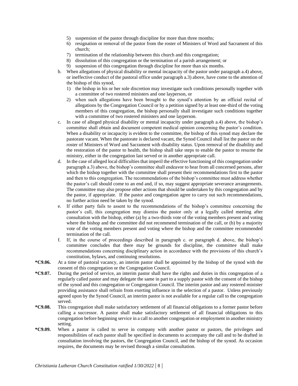- 5) suspension of the pastor through discipline for more than three months;
- 6) resignation or removal of the pastor from the roster of Ministers of Word and Sacrament of this church;
- 7) termination of the relationship between this church and this congregation;
- 8) dissolution of this congregation or the termination of a parish arrangement; or
- 9) suspension of this congregation through discipline for more than six months.
- b. When allegations of physical disability or mental incapacity of the pastor under paragraph a.4) above, or ineffective conduct of the pastoral office under paragraph a.3) above, have come to the attention of the bishop of this synod,
	- 1) the bishop in his or her sole discretion may investigate such conditions personally together with a committee of two rostered ministers and one layperson, or
	- 2) when such allegations have been brought to the synod's attention by an official recital of allegations by the Congregation Council or by a petition signed by at least one-third of the voting members of this congregation, the bishop personally shall investigate such conditions together with a committee of two rostered ministers and one layperson.
- c. In case of alleged physical disability or mental incapacity under paragraph a.4) above, the bishop's committee shall obtain and document competent medical opinion concerning the pastor's condition. When a disability or incapacity is evident to the committee, the bishop of this synod may declare the pastorate vacant. When the pastorate is declared vacant, the Synod Council shall list the pastor on the roster of Ministers of Word and Sacrament with disability status. Upon removal of the disability and the restoration of the pastor to health, the bishop shall take steps to enable the pastor to resume the ministry, either in the congregation last served or in another appropriate call.
- d. In the case of alleged local difficulties that imperil the effective functioning of this congregation under paragraph a.3) above, the bishop's committee shall endeavor to hear from all concerned persons, after which the bishop together with the committee shall present their recommendations first to the pastor and then to this congregation. The recommendations of the bishop's committee must address whether the pastor's call should come to an end and, if so, may suggest appropriate severance arrangements. The committee may also propose other actions that should be undertaken by this congregation and by the pastor, if appropriate. If the pastor and congregation agree to carry out such recommendations, no further action need be taken by the synod.
- e. If either party fails to assent to the recommendations of the bishop's committee concerning the pastor's call, this congregation may dismiss the pastor only at a legally called meeting after consultation with the bishop, either (a) by a two-thirds vote of the voting members present and voting where the bishop and the committee did not recommend termination of the call, or (b) by a majority vote of the voting members present and voting where the bishop and the committee recommended termination of the call.
- f. If, in the course of proceedings described in paragraph c. or paragraph d. above, the bishop's committee concludes that there may be grounds for discipline, the committee shall make recommendations concerning disciplinary action in accordance with the provisions of this church's constitution, bylaws, and continuing resolutions.
- **\*C9.06.** At a time of pastoral vacancy, an interim pastor shall be appointed by the bishop of the synod with the consent of this congregation or the Congregation Council.
- **\*C9.07.** During the period of service, an interim pastor shall have the rights and duties in this congregation of a regularly called pastor and may delegate the same in part to a supply pastor with the consent of the bishop of the synod and this congregation or Congregation Council. The interim pastor and any rostered minister providing assistance shall refrain from exerting influence in the selection of a pastor. Unless previously agreed upon by the Synod Council, an interim pastor is not available for a regular call to the congregation served.
- **\*C9.08.** This congregation shall make satisfactory settlement of all financial obligations to a former pastor before calling a successor. A pastor shall make satisfactory settlement of all financial obligations to this congregation before beginning service in a call to another congregation or employment in another ministry setting.
- **\*C9.09.** When a pastor is called to serve in company with another pastor or pastors, the privileges and responsibilities of each pastor shall be specified in documents to accompany the call and to be drafted in consultation involving the pastors, the Congregation Council, and the bishop of the synod. As occasion requires, the documents may be revised through a similar consultation.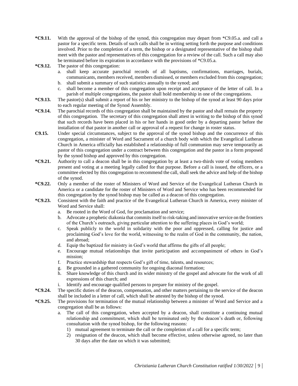- **\*C9.11.** With the approval of the bishop of the synod, this congregation may depart from \*C9.05.a. and call a pastor for a specific term. Details of such calls shall be in writing setting forth the purpose and conditions involved. Prior to the completion of a term, the bishop or a designated representative of the bishop shall meet with the pastor and representatives of this congregation for a review of the call. Such a call may also be terminated before its expiration in accordance with the provisions of \*C9.05.a.
- **\*C9.12.** The pastor of this congregation:
	- a. shall keep accurate parochial records of all baptisms, confirmations, marriages, burials, communicants, members received, members dismissed, or members excluded from this congregation; b. shall submit a summary of such statistics annually to the synod; and
	- c. shall become a member of this congregation upon receipt and acceptance of the letter of call. In a parish of multiple congregations, the pastor shall hold membership in one of the congregations.
- **\*C9.13.** The pastor(s) shall submit a report of his or her ministry to the bishop of the synod at least 90 days prior to each regular meeting of the Synod Assembly.
- **\*C9.14.** The parochial records of this congregation shall be maintained by the pastor and shall remain the property of this congregation. The secretary of this congregation shall attest in writing to the bishop of this synod that such records have been placed in his or her hands in good order by a departing pastor before the installation of that pastor in another call or approval of a request for change in roster status.
- **C9.15.** Under special circumstances, subject to the approval of the synod bishop and the concurrence of this congregation, a minister of Word and Sacrament of a church body with which the Evangelical Lutheran Church in America officially has established a relationship of full communion may serve temporarily as pastor of this congregation under a contract between this congregation and the pastor in a form proposed by the synod bishop and approved by this congregation.
- **\*C9.21.** Authority to call a deacon shall be in this congregation by at least a two-thirds vote of voting members present and voting at a meeting legally called for that purpose. Before a call is issued, the officers, or a committee elected by this congregation to recommend the call, shall seek the advice and help of the bishop of the synod.
- **\*C9.22.** Only a member of the roster of Ministers of Word and Service of the Evangelical Lutheran Church in America or a candidate for the roster of Ministers of Word and Service who has been recommended for this congregation by the synod bishop may be called as a deacon of this congregation.
- **\*C9.23.** Consistent with the faith and practice of the Evangelical Lutheran Church in America, every minister of Word and Service shall:
	- a. Be rooted in the Word of God, for proclamation and service;
	- b. Advocate a prophetic diakonia that commits itself to risk-taking and innovative service on the frontiers of the Church's outreach, giving particular attention to the suffering places in God's world;
	- c. Speak publicly to the world in solidarity with the poor and oppressed, calling for justice and proclaiming God's love for the world, witnessing to the realm of God in the community, the nation, and abroad;
	- d. Equip the baptized for ministry in God's world that affirms the gifts of all people;
	- e. Encourage mutual relationships that invite participation and accompaniment of others in God's mission;
	- f. Practice stewardship that respects God's gift of time, talents, and resources;
	- g. Be grounded in a gathered community for ongoing diaconal formation;
	- h. Share knowledge of this church and its wider ministry of the gospel and advocate for the work of all expressions of this church; and
	- i. Identify and encourage qualified persons to prepare for ministry of the gospel.
- **\*C9.24.** The specific duties of the deacon, compensation, and other matters pertaining to the service of the deacon shall be included in a letter of call, which shall be attested by the bishop of the synod.
- **\*C9.25.** The provisions for termination of the mutual relationship between a minister of Word and Service and a congregation shall be as follows:
	- a. The call of this congregation, when accepted by a deacon, shall constitute a continuing mutual relationship and commitment, which shall be terminated only by the deacon's death or, following consultation with the synod bishop, for the following reasons:
		- 1) mutual agreement to terminate the call or the completion of a call for a specific term;
		- 2) resignation of the deacon, which shall become effective, unless otherwise agreed, no later than 30 days after the date on which it was submitted;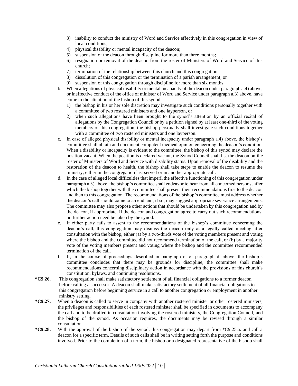- 3) inability to conduct the ministry of Word and Service effectively in this congregation in view of local conditions:
- 4) physical disability or mental incapacity of the deacon;
- 5) suspension of the deacon through discipline for more than three months;
- 6) resignation or removal of the deacon from the roster of Ministers of Word and Service of this church;
- 7) termination of the relationship between this church and this congregation;
- 8) dissolution of this congregation or the termination of a parish arrangement; or
- 9) suspension of this congregation through discipline for more than six months.
- b. When allegations of physical disability or mental incapacity of the deacon under paragraph a.4) above, or ineffective conduct of the office of minister of Word and Service under paragraph a.3) above, have come to the attention of the bishop of this synod,
	- 1) the bishop in his or her sole discretion may investigate such conditions personally together with a committee of two rostered ministers and one layperson, or
	- 2) when such allegations have been brought to the synod's attention by an official recital of allegations by the Congregation Council or by a petition signed by at least one-third of the voting members of this congregation, the bishop personally shall investigate such conditions together with a committee of two rostered ministers and one layperson.
- c. In case of alleged physical disability or mental incapacity under paragraph a.4) above, the bishop's committee shall obtain and document competent medical opinion concerning the deacon's condition. When a disability or incapacity is evident to the committee, the bishop of this synod may declare the position vacant. When the position is declared vacant, the Synod Council shall list the deacon on the roster of Ministers of Word and Service with disability status. Upon removal of the disability and the restoration of the deacon to health, the bishop shall take steps to enable the deacon to resume the ministry, either in the congregation last served or in another appropriate call.
- d. In the case of alleged local difficulties that imperil the effective functioning of this congregation under paragraph a.3) above, the bishop's committee shall endeavor to hear from all concerned persons, after which the bishop together with the committee shall present their recommendations first to the deacon and then to this congregation. The recommendations of the bishop's committee must address whether the deacon's call should come to an end and, if so, may suggest appropriate severance arrangements. The committee may also propose other actions that should be undertaken by this congregation and by the deacon, if appropriate. If the deacon and congregation agree to carry out such recommendations, no further action need be taken by the synod.
- e. If either party fails to assent to the recommendations of the bishop's committee concerning the deacon's call, this congregation may dismiss the deacon only at a legally called meeting after consultation with the bishop, either (a) by a two-thirds vote of the voting members present and voting where the bishop and the committee did not recommend termination of the call, or (b) by a majority vote of the voting members present and voting where the bishop and the committee recommended termination of the call.
- f. If, in the course of proceedings described in paragraph c. or paragraph d. above, the bishop's committee concludes that there may be grounds for discipline, the committee shall make recommendations concerning disciplinary action in accordance with the provisions of this church's constitution, bylaws, and continuing resolutions.
- **\*C9.26.** This congregation shall make satisfactory settlement of all financial obligations to a former deacon before calling a successor. A deacon shall make satisfactory settlement of all financial obligations to this congregation before beginning service in a call to another congregation or employment in another ministry setting.
- **\*C9.27.** When a deacon is called to serve in company with another rostered minister or other rostered ministers, the privileges and responsibilities of each rostered minister shall be specified in documents to accompany the call and to be drafted in consultation involving the rostered ministers, the Congregation Council, and the bishop of the synod. As occasion requires, the documents may be revised through a similar consultation.
- **\*C9.28.** With the approval of the bishop of the synod, this congregation may depart from \*C9.25.a. and call a deacon for a specific term. Details of such calls shall be in writing setting forth the purpose and conditions involved. Prior to the completion of a term, the bishop or a designated representative of the bishop shall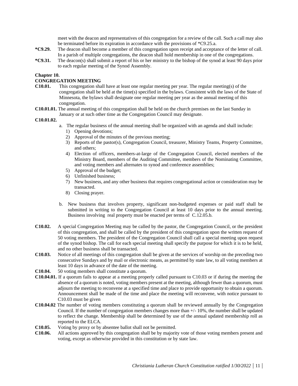meet with the deacon and representatives of this congregation for a review of the call. Such a call may also be terminated before its expiration in accordance with the provisions of \*C9.25.a.

- **\*C9.29.** The deacon shall become a member of this congregation upon receipt and acceptance of the letter of call. In a parish of multiple congregations, the deacon shall hold membership in one of the congregations.
- **\*C9.31.** The deacon(s) shall submit a report of his or her ministry to the bishop of the synod at least 90 days prior to each regular meeting of the Synod Assembly.

#### **Chapter 10.**

#### **CONGREGATION MEETING**

- **C10.01.** This congregation shall have at least one regular meeting per year. The regular meeting(s) of the congregation shall be held at the time(s) specified in the bylaws. Consistent with the laws of the State of Minnesota, the bylaws shall designate one regular meeting per year as the annual meeting of this congregation.
- **C10.01.01.** The annual meeting of this congregation shall be held on the church premises on the last Sunday in January or at such other time as the Congregation Council may designate.

#### **C10.01.02.**

- a. The regular business of the annual meeting shall be organized with an agenda and shall include:
	- 1) Opening devotions;
	- 2) Approval of the minutes of the previous meeting;
	- 3) Reports of the pastor(s), Congregation Council, treasurer, Ministry Teams, Property Committee, and others;
	- 4) Election of officers, members-at-large of the Congregation Council, elected members of the Ministry Board, members of the Auditing Committee, members of the Nominating Committee, and voting members and alternates to synod and conference assemblies;
	- 5) Approval of the budget;
	- 6) Unfinished business;
	- 7) New business, and any other business that requires congregational action or consideration may be transacted.
	- 8) Closing prayer.
- b. New business that involves property, significant non-budgeted expenses or paid staff shall be submitted in writing to the Congregation Council at least 10 days prior to the annual meeting. Business involving real property must be enacted per terms of C.12.05.b.
- **C10.02.** A special Congregation Meeting may be called by the pastor, the Congregation Council, or the president of this congregation, and shall be called by the president of this congregation upon the written request of 50 voting members. The president of the Congregation Council shall call a special meeting upon request of the synod bishop. The call for each special meeting shall specify the purpose for which it is to be held, and no other business shall be transacted.
- **C10.03.** Notice of all meetings of this congregation shall be given at the services of worship on the preceding two consecutive Sundays and by mail or electronic means, as permitted by state law, to all voting members at least 10 days in advance of the date of the meeting.
- **C10.04.** 50 voting members shall constitute a quorum.
- **C10.04.01.** If a quorum fails to appear at a meeting properly called pursuant to C10.03 or if during the meeting the absence of a quorum is noted, voting members present at the meeting, although fewer than a quorum, must adjourn the meeting to reconvene at a specified time and place to provide opportunity to obtain a quorum. Announcement shall be made of the time and place the meeting will reconvene, with notice pursuant to C10.03 must be given
- **C10.04.02** The number of voting members constituting a quorum shall be reviewed annually by the Congregation Council. If the number of congregation members changes more than +/- 10%, the number shall be updated to reflect the change. Membership shall be determined by use of the annual updated membership roll as reported to the ELCA.
- **C10.05.** Voting by proxy or by absentee ballot shall not be permitted.
- **C10.06.** All actions approved by this congregation shall be by majority vote of those voting members present and voting, except as otherwise provided in this constitution or by state law.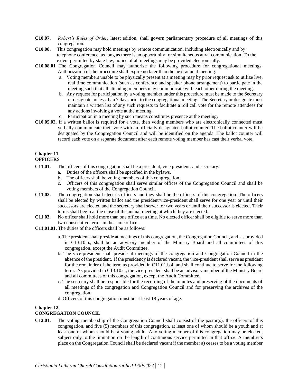- **C10.07.** *Robert's Rules of Order*, latest edition, shall govern parliamentary procedure of all meetings of this congregation.
- **C10.08.** This congregation may hold meetings by remote communication, including electronically and by telephone conference, as long as there is an opportunity for simultaneous aural communication. To the extent permitted by state law, notice of all meetings may be provided electronically.
- **C10.08.01** The Congregation Council may authorize the following procedure for congregational meetings. Authorization of the procedure shall expire no later than the next annual meeting.
	- a. Voting members unable to be physically present at a meeting may by prior request ask to utilize live, real time communication (such as conference and speaker phone arrangement) to participate in the meeting such that all attending members may communicate with each other during the meeting.
	- b. Any request for participation by a voting member under this procedure must be made to the Secretary or designate no less than 7 days prior to the congregational meeting. The Secretary or designate must maintain a written list of any such requests to facilitate a roll call vote for the remote attendees for any actions involving a vote at the meeting.
	- c. Participation in a meeting by such means constitutes presence at the meeting.
- **C10.05.02**. If a written ballot is required for a vote, then voting members who are electronically connected must verbally communicate their vote with an officially designated ballot counter. The ballot counter will be designated by the Congregation Council and will be identified on the agenda. The ballot counter will record each vote on a separate document after each remote voting member has cast their verbal vote.

# **Chapter 11.**

- **OFFICERS**
- **C11.01.** The officers of this congregation shall be a president, vice president, and secretary.
	- a. Duties of the officers shall be specified in the bylaws.
	- b. The officers shall be voting members of this congregation.
	- c. Officers of this congregation shall serve similar offices of the Congregation Council and shall be voting members of the Congregation Council.
- **C11.02.** The congregation shall elect its officers and they shall be the officers of this congregation. The officers shall be elected by written ballot and the president/vice-president shall serve for one year or until their successors are elected and the secretary shall server for two years or until their successor is elected. Their terms shall begin at the close of the annual meeting at which they are elected.
- **C11.03.** No officer shall hold more than one office at a time. No elected officer shall be eligible to serve more than two consecutive terms in the same office.
- **C11.01.01.** The duties of the officers shall be as follows:
	- a. The president shall preside at meetings of this congregation, the Congregation Council, and, as provided in C13.10.b., shall be an advisory member of the Ministry Board and all committees of this congregation, except the Audit Committee.
	- b. The vice-president shall preside at meetings of the congregation and Congregation Council in the absence of the president. If the presidency is declared vacant, the vice-president shall serve as president for the remainder of the term as provided in C11.01.b.4. and shall continue to serve for the following term. As provided in C13.10.c., the vice-president shall be an advisory member of the Ministry Board and all committees of this congregation, except the Audit Committee.
	- c. The secretary shall be responsible for the recording of the minutes and preserving of the documents of all meetings of the congregation and Congregation Council and for preserving the archives of the congregation.
	- d. Officers of this congregation must be at least 18 years of age.

# **Chapter 12.**

# **CONGREGATION COUNCIL**

**C12.01.** The voting membership of the Congregation Council shall consist of the pastor(s), the officers of this congregation, and five (5) members of this congregation, at least one of whom should be a youth and at least one of whom should be a young adult. Any voting member of this congregation may be elected, subject only to the limitation on the length of continuous service permitted in that office. A member's place on the Congregation Council shall be declared vacant if the member a) ceases to be a voting member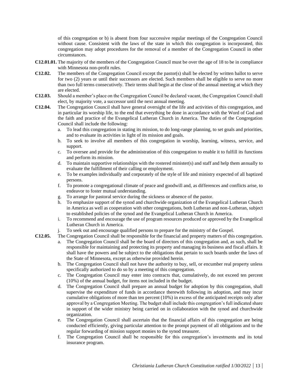of this congregation or b) is absent from four successive regular meetings of the Congregation Council without cause. Consistent with the laws of the state in which this congregation is incorporated, this congregation may adopt procedures for the removal of a member of the Congregation Council in other circumstances.

- **C12.01.01.** The majority of the members of the Congregation Council must be over the age of 18 to be in compliance with Minnesota non-profit rules.
- **C12.02.** The members of the Congregation Council except the pastor(s) shall be elected by written ballot to serve for two (2) years or until their successors are elected. Such members shall be eligible to serve no more than two full terms consecutively. Their terms shall begin at the close of the annual meeting at which they are elected.
- **C12.03.** Should a member's place on the Congregation Council be declared vacant, the Congregation Council shall elect, by majority vote, a successor until the next annual meeting.
- **C12.04.** The Congregation Council shall have general oversight of the life and activities of this congregation, and in particular its worship life, to the end that everything be done in accordance with the Word of God and the faith and practice of the Evangelical Lutheran Church in America. The duties of the Congregation Council shall include the following:
	- a. To lead this congregation in stating its mission, to do long-range planning, to set goals and priorities, and to evaluate its activities in light of its mission and goals.
	- b. To seek to involve all members of this congregation in worship, learning, witness, service, and support.
	- c. To oversee and provide for the administration of this congregation to enable it to fulfill its functions and perform its mission.
	- d. To maintain supportive relationships with the rostered minister(s) and staff and help them annually to evaluate the fulfillment of their calling or employment.
	- e. To be examples individually and corporately of the style of life and ministry expected of all baptized persons.
	- f. To promote a congregational climate of peace and goodwill and, as differences and conflicts arise, to endeavor to foster mutual understanding.
	- g. To arrange for pastoral service during the sickness or absence of the pastor.
	- h. To emphasize support of the synod and churchwide organization of the Evangelical Lutheran Church in America as well as cooperation with other congregations, both Lutheran and non-Lutheran, subject to established policies of the synod and the Evangelical Lutheran Church in America.
	- i. To recommend and encourage the use of program resources produced or approved by the Evangelical Lutheran Church in America.
	- j. To seek out and encourage qualified persons to prepare for the ministry of the Gospel.
- **C12.05.** The Congregation Council shall be responsible for the financial and property matters of this congregation.
	- a. The Congregation Council shall be the board of directors of this congregation and, as such, shall be responsible for maintaining and protecting its property and managing its business and fiscal affairs. It shall have the powers and be subject to the obligations that pertain to such boards under the laws of the State of Minnesota, except as otherwise provided herein.
	- b. The Congregation Council shall not have the authority to buy, sell, or encumber real property unless specifically authorized to do so by a meeting of this congregation.
	- c. The Congregation Council may enter into contracts that, cumulatively, do not exceed ten percent (10%) of the annual budget, for items not included in the budget.
	- d. The Congregation Council shall prepare an annual budget for adoption by this congregation, shall supervise the expenditure of funds in accordance therewith following its adoption, and may incur cumulative obligations of more than ten percent (10%) in excess of the anticipated receipts only after approval by a Congregation Meeting. The budget shall include this congregation's full indicated share in support of the wider ministry being carried on in collaboration with the synod and churchwide organization.
	- e. The Congregation Council shall ascertain that the financial affairs of this congregation are being conducted efficiently, giving particular attention to the prompt payment of all obligations and to the regular forwarding of mission support monies to the synod treasurer.
	- f. The Congregation Council shall be responsible for this congregation's investments and its total insurance program.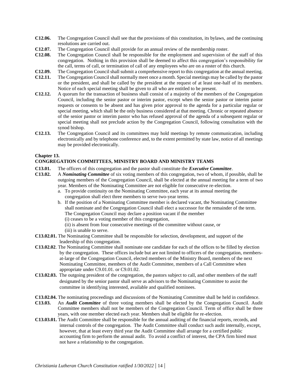- **C12.06.** The Congregation Council shall see that the provisions of this constitution, its bylaws, and the continuing resolutions are carried out.
- **C12.07.** The Congregation Council shall provide for an annual review of the membership roster.
- **C12.08.** The Congregation Council shall be responsible for the employment and supervision of the staff of this congregation. Nothing in this provision shall be deemed to affect this congregation's responsibility for the call, terms of call, or termination of call of any employees who are on a roster of this church.
- **C12.09.** The Congregation Council shall submit a comprehensive report to this congregation at the annual meeting.
- **C12.11.** The Congregation Council shall normally meet once a month. Special meetings may be called by the pastor or the president, and shall be called by the president at the request of at least one-half of its members. Notice of each special meeting shall be given to all who are entitled to be present.
- **C12.12.** A quorum for the transaction of business shall consist of a majority of the members of the Congregation Council, including the senior pastor or interim pastor, except when the senior pastor or interim pastor requests or consents to be absent and has given prior approval to the agenda for a particular regular or special meeting, which shall be the only business considered at that meeting. Chronic or repeated absence of the senior pastor or interim pastor who has refused approval of the agenda of a subsequent regular or special meeting shall not preclude action by the Congregation Council, following consultation with the synod bishop.
- **C12.13.** The Congregation Council and its committees may hold meetings by remote communication, including electronically and by telephone conference and, to the extent permitted by state law, notice of all meetings may be provided electronically.

#### **Chapter 13.**

#### **CONGREGATION COMMITTEES, MINISTRY BOARD AND MINISTRY TEAMS**

- **C13.01.** The officers of this congregation and the pastor shall constitute the *Executive Committee*.
- **C13.02.** A *Nominating Committee* of six voting members of this congregation, two of whom, if possible, shall be outgoing members of the Congregation Council, shall be elected at the annual meeting for a term of two year. Members of the Nominating Committee are not eligible for consecutive re-election.
	- a. To provide continuity on the Nominating Committee, each year at its annual meeting the congregation shall elect three members to serve two-year terms.
	- b. If the position of a Nominating Committee member is declared vacant, the Nominating Committee shall nominate and the Congregation Council shall elect a successor for the remainder of the term. The Congregation Council may declare a position vacant if the member
		- (i) ceases to be a voting member of this congregation,
		- (ii) is absent from four consecutive meetings of the committee without cause, or
		- (iii) is unable to serve.
- **C13.02.01.** The Nominating Committee shall be responsible for selection, development, and support of the leadership of this congregation.
- **C13.02.02**. The Nominating Committee shall nominate one candidate for each of the offices to be filled by election by the congregation. These offices include but are not limited to officers of the congregation, membersat-large of the Congregation Council, elected members of the Ministry Board, members of the next Nominating Committee, members of the Audit Committee, members of a Call Committee when appropriate under C9.01.01. or C9.01.02.
- **C13.02.03.** The outgoing president of the congregation, the pastors subject to call, and other members of the staff designated by the senior pastor shall serve as advisors to the Nominating Committee to assist the committee in identifying interested, available and qualified nominees.
- **C13.02.04.** The nominating proceedings and discussions of the Nominating Committee shall be held in confidence.
- **C13.03.** An *Audit Committee* of three voting members shall be elected by the Congregation Council. Audit Committee members shall not be members of the Congregation Council. Term of office shall be three years, with one member elected each year. Members shall be eligible for re-election.
- **C13.03.01.** The Audit Committee shall be responsible for the annual auditing of the financial reports, records, and internal controls of the congregation. The Audit Committee shall conduct such audit internally, except, however, that at least every third year the Audit Committee shall arrange for a certified public accounting firm to perform the annual audit. To avoid a conflict of interest, the CPA firm hired must not have a relationship to the congregation.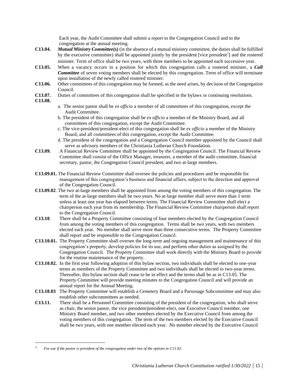Each year, the Audit Committee shall submit a report to the Congregation Council and to the congregation at the annual meeting.

- **C13.04.** *Mutual Ministry Committee(s)* (in the absence of a mutual ministry committee, the duties shall be fulfilled by the executive committee) shall be appointed jointly by the president [vice president<sup>1</sup>] and the rostered minister. Term of office shall be two years, with three members to be appointed each successive year.
- **C13.05.** When a vacancy occurs in a position for which this congregation calls a rostered minister, a *Call Committee* of seven voting members shall be elected by this congregation. Term of office will terminate upon installation of the newly called rostered minister.
- **C13.06.** Other committees of this congregation may be formed, as the need arises, by decision of the Congregation Council.
- **C13.07.** Duties of committees of this congregation shall be specified in the bylaws or continuing resolutions.
- **C13.08.**
- a. The senior pastor shall be *ex officio* a member of all committees of this congregation, except the Audit Committee.
- b. The president of this congregation shall be *ex officio* a member of the Ministry Board, and all committees of this congregation, except the Audit Committee.
- c. The vice-president/president-elect of this congregation shall be *ex officio* a member of the Ministry Board, and all committees of this congregation, except the Audit Committee.
- d. The president of the congregation and a Congregation Council member appointed by the Council shall serve as advisory members of the Christiania Lutheran Church Foundation.
- **C13.09.** A Financial Review Committee shall be appointed by the Congregation Council. The Financial Review Committee shall consist of the Office Manager, treasurer, a member of the audit committee, financial secretary, pastor, the Congregation Council president, and two at-large members.
- **C13.09.01.** The Financial Review Committee shall oversee the policies and procedures and be responsible for management of this congregation's business and financial affairs, subject to the direction and approval of the Congregation Council.
- **C13.09.02**. The two at-large members shall be appointed from among the voting members of this congregation. The term of the at-large members shall be two years. No at-large member shall serve more than 1 term unless at least one year has elapsed between terms. The Financial Review Committee shall elect a chairperson each year from its membership. The Financial Review Committee chairperson shall report to the Congregation Council.
- **C13.10**. There shall be a Property Committee consisting of four members elected by the Congregation Council from among the voting members of this congregation. Terms shall be two years, with two members elected each year. No member shall serve more than three consecutive terms. The Property Committee shall report and be responsible to the Congregation Council.
- **C13.10.01.** The Property Committee shall oversee the long-term and ongoing management and maintenance of this congregation's property, develop policies for its use, and perform other duties as assigned by the Congregation Council. The Property Committee shall work directly with the Ministry Board to provide for the routine maintenance of the property.
- **C13.10.02.** In the first year following adoption of this bylaw section, two individuals shall be elected to one-year terms as members of the Property Committee and two individuals shall be elected to two-year terms. Thereafter, this bylaw section shall cease to be in effect and the terms shall be as in C13.05. The Property Committee will provide meeting minutes to the Congregation Council and will provide an annual report for the Annual Meeting.
- **C13.10.03** The Property Committee will establish a Cemetery Board and a Parsonage Subcommittee and may also establish other subcommittees as needed.
- **C13.11.** There shall be a Personnel Committee consisting of the president of the congregation, who shall serve as chair, the senior pastor, the vice president/president-elect, one Executive Council member, one Ministry Board member, and two other members elected by the Executive Council from among the voting members of this congregation. The term of the two members elected by the Executive Council shall be two years, with one member elected each year. No member elected by the Executive Council

<sup>1</sup> *For use if the pastor is president of the congregation under two of the options in C11.02.*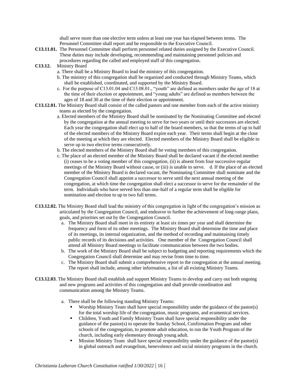shall serve more than one elective term unless at least one year has elapsed between terms. The Personnel Committee shall report and be responsible to the Executive Council.

- **C13.11.01.** The Personnel Committee shall perform personnel related duties assigned by the Executive Council. These duties may include developing, recommending and maintaining personnel policies and procedures regarding the called and employed staff of this congregation.
- **C13.12.** Ministry Board
	- a. There shall be a Ministry Board to lead the ministry of this congregation.
	- b. The ministry of this congregation shall be organized and conducted through Ministry Teams, which shall be established, coordinated, and supported by the Ministry Board.
	- c. For the purpose of C13.01.04 and C13.08.01., "youth" are defined as members under the age of 18 at the time of their election or appointment, and "young adults" are defined as members between the ages of 18 and 30 at the time of their election or appointment.
- **C13.12.01.** The Ministry Board shall consist of the called pastors and one member from each of the active ministry teams as elected by the congregation.
	- a. Elected members of the Ministry Board shall be nominated by the Nominating Committee and elected by the congregation at the annual meeting to serve for two years or until their successors are elected. Each year the congregation shall elect up to half of the board members, so that the terms of up to half of the elected members of the Ministry Board expire each year. Their terms shall begin at the close of the meeting at which they are elected. Elected members of the Ministry Board shall be eligible to serve up to two elective terms consecutively.
	- b. The elected members of the Ministry Board shall be voting members of this congregation.
	- c. The place of an elected member of the Ministry Board shall be declared vacant if the elected member (i) ceases to be a voting member of this congregation, (ii) is absent from four successive regular meetings of the Ministry Board without cause, or (iii) is unable to serve. d. If the place of an elected member of the Ministry Board is declared vacant, the Nominating Committee shall nominate and the Congregation Council shall appoint a successor to serve until the next annual meeting of the congregation, at which time the congregation shall elect a successor to serve for the remainder of the term. Individuals who have served less than one-half of a regular term shall be eligible for nomination and election to up to two full terms.
- **C13.12.02.** The Ministry Board shall lead the ministry of this congregation in light of the congregation's mission as articulated by the Congregation Council, and endeavor to further the achievement of long-range plans, goals, and priorities set out by the Congregation Council.
	- a. The Ministry Board shall meet in its entirety at least six times per year and shall determine the frequency and form of its other meetings. The Ministry Board shall determine the time and place of its meetings, its internal organization, and the method of recording and maintaining timely public records of its decisions and activities. One member of the Congregation Council shall attend all Ministry Board meetings to facilitate communication between the two bodies.
	- b. The work of the Ministry Board shall be subject to budgeting and reporting requirements which the Congregation Council shall determine and may revise from time to time.
	- c. The Ministry Board shall submit a comprehensive report to the congregation at the annual meeting. The report shall include, among other information, a list of all existing Ministry Teams.
- **C13.12.03**. The Ministry Board shall establish and support Ministry Teams to develop and carry out both ongoing and new programs and activities of this congregation and shall provide coordination and communication among the Ministry Teams.
	- a. There shall be the following standing Ministry Teams:
		- Worship Ministry Team shall have special responsibility under the guidance of the pastor(s) for the total worship life of the congregation, music programs, and ecumenical services.
		- Children, Youth and Family Ministry Team shall have special responsibility under the guidance of the pastor(s) to operate the Sunday School, Confirmation Program and other schools of the congregation, to promote adult education, to run the Youth Program of the church, including early elementary through young adult.
		- Mission Ministry Team shall have special responsibility under the guidance of the pastor(s) in global outreach and evangelism, benevolence and social ministry programs in the church.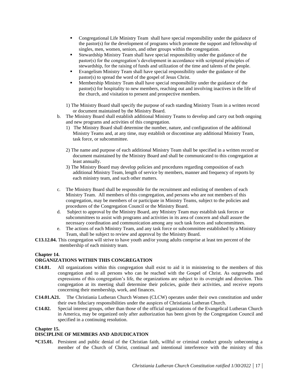- Congregational Life Ministry Team shall have special responsibility under the guidance of the pastor(s) for the development of programs which promote the support and fellowship of singles, men, women, seniors, and other groups within the congregation.
- Stewardship Ministry Team shall have special responsibility under the guidance of the pastor(s) for the congregation's development in accordance with scriptural principles of stewardship, for the raising of funds and utilization of the time and talents of the people.
- Evangelism Ministry Team shall have special responsibility under the guidance of the pastor(s) to spread the word of the gospel of Jesus Christ.
- Membership Ministry Team shall have special responsibility under the guidance of the pastor(s) for hospitality to new members, reaching out and involving inactives in the life of the church, and visitation to present and prospective members.
- 1) The Ministry Board shall specify the purpose of each standing Ministry Team in a written record or document maintained by the Ministry Board.
- b. The Ministry Board shall establish additional Ministry Teams to develop and carry out both ongoing and new programs and activities of this congregation.
	- 1) The Ministry Board shall determine the number, nature, and configuration of the additional Ministry Teams and, at any time, may establish or discontinue any additional Ministry Team, task force, or subcommittee.
	- 2) The name and purpose of each additional Ministry Team shall be specified in a written record or document maintained by the Ministry Board and shall be communicated to this congregation at least annually.
	- 3) The Ministry Board may develop policies and procedures regarding composition of each additional Ministry Team, length of service by members, manner and frequency of reports by each ministry team, and such other matters.
- c. The Ministry Board shall be responsible for the recruitment and enlisting of members of each Ministry Team. All members of this congregation, and persons who are not members of this congregation, may be members of or participate in Ministry Teams, subject to the policies and procedures of the Congregation Council or the Ministry Board.
- d. Subject to approval by the Ministry Board, any Ministry Team may establish task forces or subcommittees to assist with programs and activities in its area of concern and shall assure the necessary coordination and communication among any such task forces and subcommittees.
- e. The actions of each Ministry Team, and any task force or subcommittee established by a Ministry Team, shall be subject to review and approval by the Ministry Board.
- **C13.12.04.** This congregation will strive to have youth and/or young adults comprise at least ten percent of the membership of each ministry team.

# **Chapter 14.**

# **ORGANIZATIONS WITHIN THIS CONGREGATION**

- **C14.01.** All organizations within this congregation shall exist to aid it in ministering to the members of this congregation and to all persons who can be reached with the Gospel of Christ. As outgrowths and expressions of this congregation's life, the organizations are subject to its oversight and direction. This congregation at its meeting shall determine their policies, guide their activities, and receive reports concerning their membership, work, and finances.
- **C14.01.A21.** The Christiania Lutheran Church Women (CLCW) operates under their own constitution and under their own fiduciary responsibilities under the auspices of Christiania Lutheran Church.
- **C14.02.** Special interest groups, other than those of the official organizations of the Evangelical Lutheran Church in America, may be organized only after authorization has been given by the Congregation Council and specified in a continuing resolution.

#### **Chapter 15.**

#### **DISCIPLINE OF MEMBERS AND ADJUDICATION**

**\*C15.01.** Persistent and public denial of the Christian faith, willful or criminal conduct grossly unbecoming a member of the Church of Christ, continual and intentional interference with the ministry of this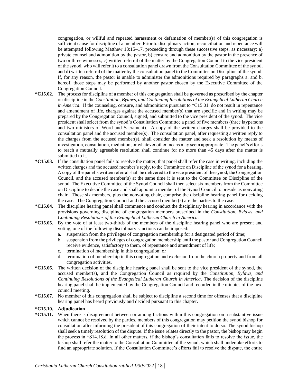congregation, or willful and repeated harassment or defamation of member(s) of this congregation is sufficient cause for discipline of a member. Prior to disciplinary action, reconciliation and repentance will be attempted following Matthew 18:15–17, proceeding through these successive steps, as necessary: a) private counsel and admonition by the pastor, b) censure and admonition by the pastor in the presence of two or three witnesses, c) written referral of the matter by the Congregation Council to the vice president of the synod, who will refer it to a consultation panel drawn from the Consultation Committee of the synod, and d) written referral of the matter by the consultation panel to the Committee on Discipline of the synod. If, for any reason, the pastor is unable to administer the admonitions required by paragraphs a. and b. hereof, those steps may be performed by another pastor chosen by the Executive Committee of the Congregation Council.

- **\*C15.02.** The process for discipline of a member of this congregation shall be governed as prescribed by the chapter on discipline in the *Constitution, Bylaws, and Continuing Resolutions of the Evangelical Lutheran Church in America*. If the counseling, censure, and admonitions pursuant to \*C15.01, do not result in repentance and amendment of life, charges against the accused member(s) that are specific and in writing may be prepared by the Congregation Council, signed, and submitted to the vice president of the synod. The vice president shall select from the synod's Consultation Committee a panel of five members (three laypersons and two ministers of Word and Sacrament). A copy of the written charges shall be provided to the consultation panel and the accused member(s). The consultation panel, after requesting a written reply to the charges from the accused member(s), shall consider the matter and seek a resolution by means of investigation, consultation, mediation, or whatever other means may seem appropriate. The panel's efforts to reach a mutually agreeable resolution shall continue for no more than 45 days after the matter is submitted to it.
- **\*C15.03.** If the consultation panel fails to resolve the matter, that panel shall refer the case in writing, including the written charges and the accused member's reply, to the Committee on Discipline of the synod for a hearing. A copy of the panel's written referral shall be delivered to the vice president of the synod, the Congregation Council, and the accused member(s) at the same time it is sent to the Committee on Discipline of the synod. The Executive Committee of the Synod Council shall then select six members from the Committee on Discipline to decide the case and shall appoint a member of the Synod Council to preside as nonvoting chair. Those six members, plus the nonvoting chair, comprise the discipline hearing panel for deciding the case. The Congregation Council and the accused member(s) are the parties to the case.
- **\*C15.04.** The discipline hearing panel shall commence and conduct the disciplinary hearing in accordance with the provisions governing discipline of congregation members prescribed in the *Constitution, Bylaws, and Continuing Resolutions of the Evangelical Lutheran Church in America.*
- **\*C15.05.** By the vote of at least two-thirds of the members of the discipline hearing panel who are present and voting, one of the following disciplinary sanctions can be imposed:
	- a. suspension from the privileges of congregation membership for a designated period of time;
	- b. suspension from the privileges of congregation membership until the pastor and Congregation Council receive evidence, satisfactory to them, of repentance and amendment of life;
	- c. termination of membership in this congregation; or
	- d. termination of membership in this congregation and exclusion from the church property and from all congregation activities.
- **\*C15.06.** The written decision of the discipline hearing panel shall be sent to the vice president of the synod, the accused member(s), and the Congregation Council as required by the *Constitution, Bylaws, and Continuing Resolutions of the Evangelical Lutheran Church in America*. The decision of the discipline hearing panel shall be implemented by the Congregation Council and recorded in the minutes of the next council meeting.
- **\*C15.07.** No member of this congregation shall be subject to discipline a second time for offenses that a discipline hearing panel has heard previously and decided pursuant to this chapter.

#### **\*C15.10. Adjudication**

**\*C15.11.** When there is disagreement between or among factions within this congregation on a substantive issue which cannot be resolved by the parties, members of this congregation may petition the synod bishop for consultation after informing the president of this congregation of their intent to do so. The synod bishop shall seek a timely resolution of the dispute. If the issue relates directly to the pastor, the bishop may begin the process in †S14.18.d. In all other matters, if the bishop's consultation fails to resolve the issue, the bishop shall refer the matter to the Consultation Committee of the synod, which shall undertake efforts to find an appropriate solution. If the Consultation Committee's efforts fail to resolve the dispute, the entire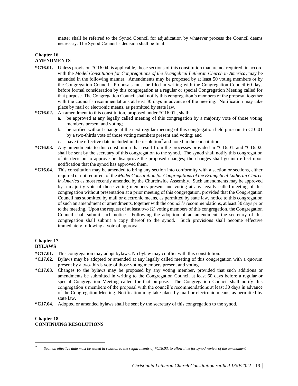matter shall be referred to the Synod Council for adjudication by whatever process the Council deems necessary. The Synod Council's decision shall be final.

# **Chapter 16. AMENDMENTS**

- **\*C16.01.** Unless provision \*C16.04. is applicable, those sections of this constitution that are not required, in accord with the *Model Constitution for Congregations of the Evangelical Lutheran Church in America*, may be amended in the following manner. Amendments may be proposed by at least 50 voting members or by the Congregation Council. Proposals must be filed in writing with the Congregation Council 60 days before formal consideration by this congregation at a regular or special Congregation Meeting called for that purpose. The Congregation Council shall notify this congregation's members of the proposal together with the council's recommendations at least 30 days in advance of the meeting. Notification may take place by mail or electronic means, as permitted by state law.
- **\*C16.02.** An amendment to this constitution, proposed under \*C16.01., shall:
	- a. be approved at any legally called meeting of this congregation by a majority vote of those voting members present and voting;
	- b. be ratified without change at the next regular meeting of this congregation held pursuant to C10.01 by a two-thirds vote of those voting members present and voting; and
	- c. have the effective date included in the resolution<sup>2</sup> and noted in the constitution.
- **\*C16.03.** Any amendments to this constitution that result from the processes provided in \*C16.01. and \*C16.02. shall be sent by the secretary of this congregation to the synod. The synod shall notify this congregation of its decision to approve or disapprove the proposed changes; the changes shall go into effect upon notification that the synod has approved them.
- **\*C16.04.** This constitution may be amended to bring any section into conformity with a section or sections, either required or not required, of the *Model Constitution for Congregations of the Evangelical Lutheran Church in America* as most recently amended by the Churchwide Assembly. Such amendments may be approved by a majority vote of those voting members present and voting at any legally called meeting of this congregation without presentation at a prior meeting of this congregation, provided that the Congregation Council has submitted by mail or electronic means, as permitted by state law, notice to this congregation of such an amendment or amendments, together with the council's recommendations, at least 30 days prior to the meeting. Upon the request of at least two (2) voting members of this congregation, the Congregation Council shall submit such notice. Following the adoption of an amendment, the secretary of this congregation shall submit a copy thereof to the synod. Such provisions shall become effective immediately following a vote of approval.

#### **Chapter 17. BYLAWS**

- **\*C17.01.** This congregation may adopt bylaws. No bylaw may conflict with this constitution.
- **\*C17.02.** Bylaws may be adopted or amended at any legally called meeting of this congregation with a quorum present by a two-thirds vote of those voting members present and voting.
- **\*C17.03.** Changes to the bylaws may be proposed by any voting member, provided that such additions or amendments be submitted in writing to the Congregation Council at least 60 days before a regular or special Congregation Meeting called for that purpose. The Congregation Council shall notify this congregation's members of the proposal with the council's recommendations at least 30 days in advance of the Congregation Meeting. Notification may take place by mail or electronic means, as permitted by state law.
- **\*C17.04.** Adopted or amended bylaws shall be sent by the secretary of this congregation to the synod.

# **Chapter 18. CONTINUING RESOLUTIONS**

<sup>2</sup> *Such an effective date must be stated in relation to the requirements of \*C16.03. to allow time for synod review of the amendment.*